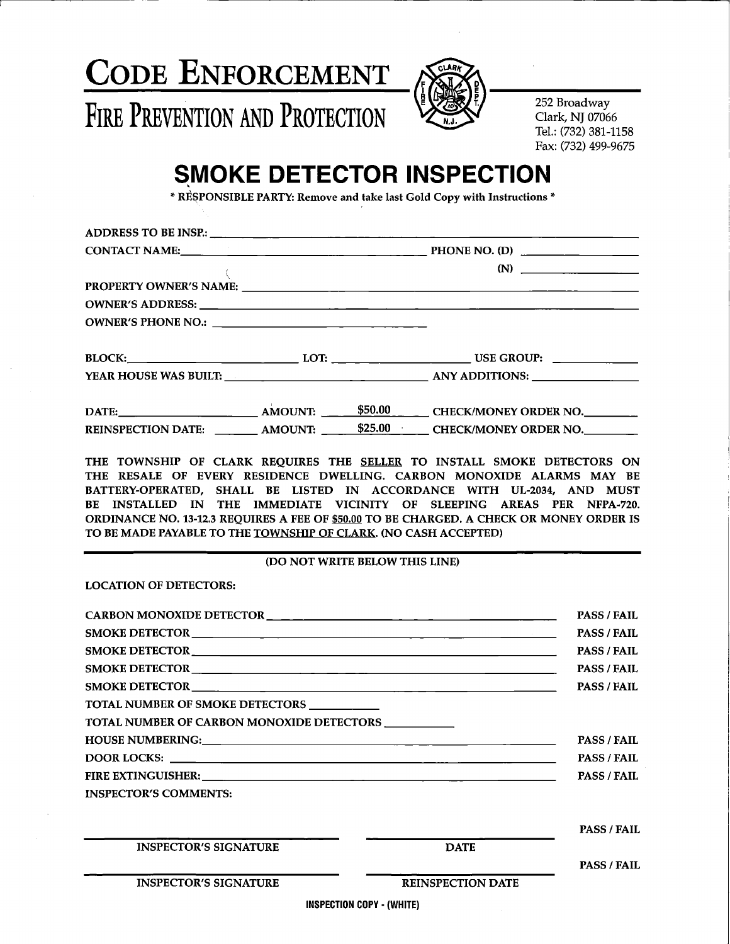



**252 Broadway Clark, NJ 07066 Tel.: (732) 381-1158 Fax: (732) 499-9675**

# **SMOKE DETECTOR INSPECTION**

**\* RESPONSIBLE PARTY: Remove and take last Gold Copy with Instructions \***

|  | (N)                                                                                                            |
|--|----------------------------------------------------------------------------------------------------------------|
|  |                                                                                                                |
|  |                                                                                                                |
|  |                                                                                                                |
|  | BLOCK:___________________________________LOT: ___________________________________ USE GROUP: _________________ |
|  |                                                                                                                |
|  |                                                                                                                |
|  | REINSPECTION DATE: _________ AMOUNT: ______ \$25.00 CHECK/MONEY ORDER NO.                                      |
|  | THE TOWNEHIP OF CLAPK PEOHIPES THE SELLER TO INSTALL SMOKE DETECTORS ON                                        |

**THE TOWNSHIP OF CLARK REQUIRES THE SELLER TO INSTALL SMOKE DETECTORS ON THE RESALE OF EVERY RESIDENCE DWELLING. CARBON MONOXIDE ALARMS MAY BE BATTERY-OPERATED, SHALL BE LISTED IN ACCORDANCE WITH UL-2034, AND MUST BE INSTALLED IN THE IMMEDIATE VICINITY OF SLEEPING AREAS PER NFPA-720. ORDINANCE NO. 13-12.3 REQUIRES A FEE OF \$50.00 TO BE CHARGED. A CHECK OR MONEY ORDER IS TO BE MADE PAYABLE TO THE TOWNSHIP OF CLARK. (NO CASH ACCEPTED)**

#### **(DO NOT WRITE BELOW THIS LINE)**

**LOCATION OF DETECTORS:**

|                                                         | <b>PASS / FAIL</b>       |                    |
|---------------------------------------------------------|--------------------------|--------------------|
|                                                         | <b>PASS / FAIL</b>       |                    |
|                                                         | <b>PASS / FAIL</b>       |                    |
|                                                         | <b>PASS / FAIL</b>       |                    |
|                                                         | <b>PASS / FAIL</b>       |                    |
| TOTAL NUMBER OF SMOKE DETECTORS ____________            |                          |                    |
| TOTAL NUMBER OF CARBON MONOXIDE DETECTORS _____________ |                          |                    |
|                                                         | <b>PASS / FAIL</b>       |                    |
|                                                         | <b>PASS / FAIL</b>       |                    |
|                                                         | <b>PASS / FAIL</b>       |                    |
| <b>INSPECTOR'S COMMENTS:</b>                            |                          |                    |
|                                                         |                          |                    |
|                                                         |                          | <b>PASS / FAIL</b> |
| <b>INSPECTOR'S SIGNATURE</b>                            | <b>DATE</b>              |                    |
|                                                         |                          | <b>PASS / FAIL</b> |
| <b>INSPECTOR'S SIGNATURE</b>                            | <b>REINSPECTION DATE</b> |                    |